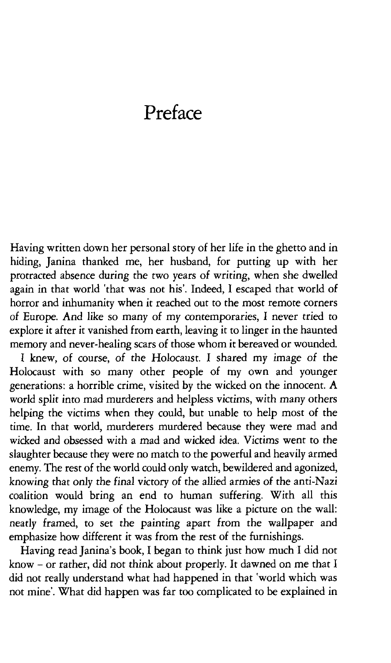# **Preface**

Having written down her personal story of her life in the ghetto and in hiding, Janina thanked me, her husband, for putting up with her protracted absence during the two years of writing, when she dwelled again in that world 'that was not his'. Indeed, I escaped that world of horror and inhumanity when it reached out to the most remote corners of Europe. And like so many of my contemporaries, I never tried to explore it after it vanished from earth, leaving it to linger in the haunted memory and never-healing scars of those whom it bereaved or wounded.

I knew, of course, of the Holocaust. I shared my image of the Holocaust with so many other people of my own and younger generations: a horrible crime, visited by the wicked on the innocent. A world split into mad murderers and helpless victims, with many others helping the victims when they could, but unable to help most of the time. In that world, murderers murdered because they were mad and wicked and obsessed with a mad and wicked idea. Victims went to the slaughter because they were no match to the powerful and heavily armed enemy. The rest of the world could only watch, bewildered and agonized, knowing that only the final victory of the allied armies of the anti-Nazi coalition would bring an end to human suffering. With all this knowledge, my image of the Holocaust was like a picture on the wall: neatly framed, to set the painting apart from the wallpaper and emphasize how different it was from the rest of the furnishings.

Having read Janina's book, I began to think just how much I did not know - or rather, did not think about properly. It dawned on me that I did not really understand what had happened in that 'world which was not mine'. W hat did happen was far too complicated to be explained in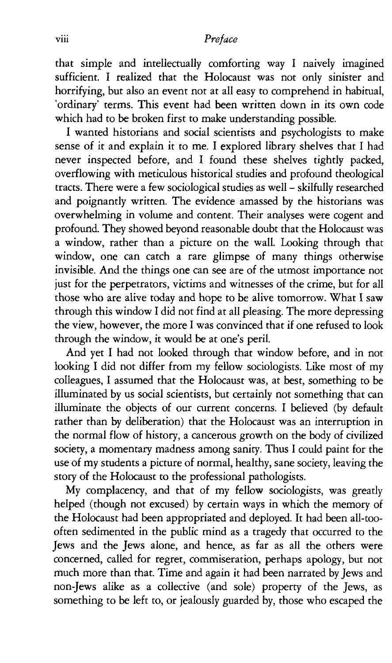that simple and intellectually comforting way I naively imagined sufficient. I realized that the Holocaust was not only sinister and horrifying, but also an event not at all easy to comprehend in habitual, 'ordinary' terms. This event had been written down in its own code which had to be broken first to make understanding possible.

I wanted historians and social scientists and psychologists to make sense of it and explain it to me. I explored library shelves that I had never inspected before, and I found these shelves tightly packed, overflowing with meticulous historical studies and profound theological tracts. There were a few sociological studies as well - skilfully researched and poignantly written. The evidence amassed by the historians was overwhelming in volume and content. Their analyses were cogent and profound. They showed beyond reasonable doubt that the Holocaust was a window, rather than a picture on the wall. Looking through that window, one can catch a rare glimpse of many things otherwise invisible. And the things one can see are of the utmost importance not just for the perpetrators, victims and witnesses of the crime, but for all those who are alive today and hope to be alive tomorrow. W hat I saw through this window I did not find at all pleasing. The more depressing the view, however, the more I was convinced that if one refused to look through the window, it would be at one's peril.

And yet I had not looked through that window before, and in not looking I did not differ from my fellow sociologists. Like most of my colleagues, I assumed that the Holocaust was, at best, something to be illuminated by us social scientists, but certainly not something that can illuminate the objects of our current concerns. I believed (by default rather than by deliberation) that the Holocaust was an interruption in the normal flow of history, a cancerous growth on the body of civilized society, a momentary madness among sanity. Thus I could paint for the use of my students a picture of normal, healthy, sane society, leaving the story of the Holocaust to the professional pathologists.

My complacency, and that of my fellow sociologists, was greatly helped (though not excused) by certain ways in which the memory of the Holocaust had been appropriated and deployed. It had been all-toooften sedimented in the public mind as a tragedy that occurred to the Jews and the Jews alone, and hence, as far as all the others were concerned, called for regret, commiseration, perhaps apology, but not much more than that. Time and again it had been narrated by Jews and non-Jews alike as a collective (and sole) property of the Jews, as something to be left to, or jealously guarded by, those who escaped the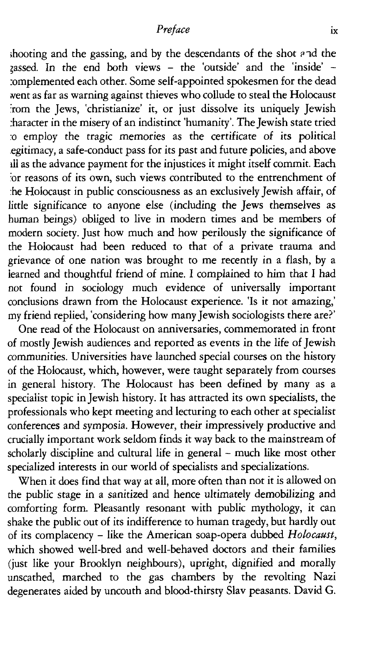shooting and the gassing, and by the descendants of the shot  $a$ nd the zassed. In the end both views - the 'outside' and the 'inside' -:omplemented each other. Some self-appointed spokesmen for the dead vent as far as warning against thieves who collude to steal the Holocaust :rom the Jews, christianize' it, or just dissolve its uniquely Jewish :haracter in the misery of an indistinct 'humanity'. The Jewish state tried :o employ the tragic memories as the certificate of its political egitimacy, a safe-conduct pass for its past and future policies, and above ill as the advance payment for the injustices it might itself commit. Each :or reasons of its own, such views contributed to the entrenchment of :he Holocaust in public consciousness as an exclusively Jewish affair, of little significance to anyone else (including the Jews themselves as human beings) obliged to live in modern times and be members of modern society. Just how much and how perilously the significance of the Holocaust had been reduced to that of a private trauma and grievance of one nation was brought to me recently in a flash, by a learned and thoughtful friend of mine. I complained to him that I had not found in sociology much evidence of universally important conclusions drawn from the Holocaust experience. 'Is it not amazing,' my friend replied, 'considering how many Jewish sociologists there are?'

One read of the Holocaust on anniversaries, commemorated in front of mostly Jewish audiences and reported as events in the life of Jewish communities. Universities have launched special courses on the history of the Holocaust, which, however, were taught separately from courses in general history. The Holocaust has been defined by many as a specialist topic in Jewish history. It has attracted its own specialists, the professionals who kept meeting and lecturing to each other at specialist conferences and symposia. However, their impressively productive and crucially important work seldom finds it way back to the mainstream of scholarly discipline and cultural life in general - much like most other specialized interests in our world of specialists and specializations.

When it does find that way at all, more often than not it is allowed on the public stage in a sanitized and hence ultimately demobilizing and comforting form. Pleasantly resonant with public mythology, it can shake the public out of its indifference to human tragedy, but hardly out of its complacency - like the American soap-opera dubbed *Holocaust,* which showed well-bred and well-behaved doctors and their families (just like your Brooklyn neighbours), upright, dignified and morally unscathed, marched to the gas chambers by the revolting Nazi degenerates aided by uncouth and blood-thirsty Slav peasants. David G.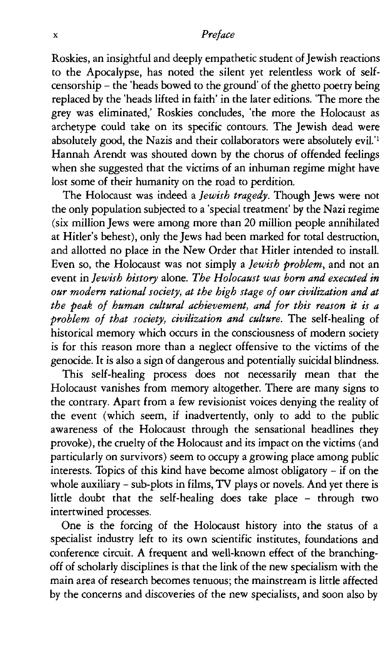#### <sup>X</sup> *Preface*

Roskies, an insightful and deeply empathetic student of Jewish reactions to the Apocalypse, has noted the silent yet relentless work of selfcensorship - the 'heads bowed to the ground' of the ghetto poetry being replaced by the 'heads lifted in faith' in the later editions. 'The more the grey was eliminated,' Roskies concludes, 'the more the Holocaust as archetype could take on its specific contours. The Jewish dead were absolutely good, the Nazis and their collaborators were absolutely evil.'1 Hannah Arendt was shouted down by the chorus of offended feelings when she suggested that the victims of an inhuman regime might have lost some of their humanity on the road to perdition.

The Holocaust was indeed a *Jewish tragedy.* Though Jews were not the only population subjected to a 'special treatment' by the Nazi regime (six million Jews were among more than 20 million people annihilated at Hitler's behest), only the Jews had been marked for total destruction, and allotted no place in the New Order that Hitler intended to install. Even so, the Holocaust was not simply a *Jewish problem*, and not an event in *Jewish history* alone. *The Holocaust was bom and executed in our m odem rational society, at the high stage of our civilization and at the peak of human cultural achievement, and for this reason it is a problem of that society, civilization and culture.* The self-healing of historical memory which occurs in the consciousness of modern society is for this reason more than a neglect offensive to the victims of the genocide. It is also a sign of dangerous and potentially suicidal blindness.

This self-healing process does not necessarily mean that the Holocaust vanishes from memory altogether. There are many signs to the contrary. Apart from a few revisionist voices denying the reality of the event (which seem, if inadvertently, only to add to the public awareness of the Holocaust through the sensational headlines they provoke), the cruelty of the Holocaust and its impact on the victims (and particularly on survivors) seem to occupy a growing place among public interests. Topics of this kind have become almost obligatory - if on the whole auxiliary - sub-plots in films, TV plays or novels. And yet there is little doubt that the self-healing does take place - through two intertwined processes.

One is the forcing of the Holocaust history into the status of a specialist industry left to its own scientific institutes, foundations and conference circuit. A frequent and well-known effect of the branchingoff of scholarly disciplines is that the link of the new specialism with the main area of research becomes tenuous; the mainstream is little affected by the concerns and discoveries of the new specialists, and soon also by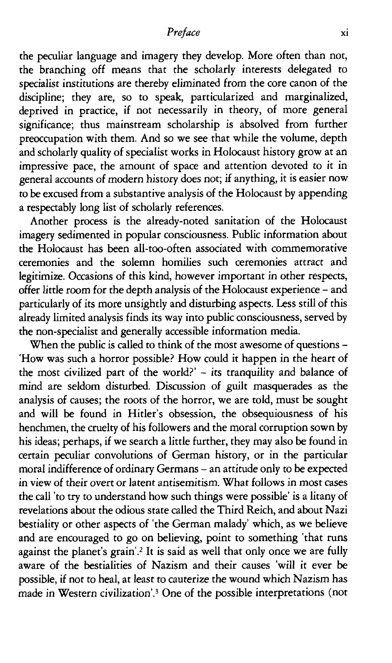the peculiar language and imagery they develop. More often than not, the branching off means that the scholarly interests delegated to specialist institutions are thereby eliminated from the core canon of the discipline; they are, so to speak, particularized and marginalized, deprived in practice, if not necessarily in theory, of more general significance; thus mainstream scholarship is absolved from further preoccupation with them. And so we see that while the volume, depth and scholarly quality of specialist works in Holocaust history grow at an impressive pace, the amount of space and attention devoted to it in general accounts of modern history does not; if anything, it is easier now to be excused from a substantive analysis of the Holocaust by appending a respectably long list of scholarly references.

Another process is the already-noted sanitation of the Holocaust imagery sedimented in popular consciousness. Public information about the Holocaust has been all-too-often associated with commemorative ceremonies and the solemn homilies such ceremonies attract and legitimize. Occasions of this kind, however important in other respects, offer little room for the depth analysis of the Holocaust experience - and particularly of its more unsightly and disturbing aspects. Less still of this already limited analysis finds its way into public consciousness, served by the non-specialist and generally accessible information media.

When the public is called to think of the most awesome of questions -'How was such a horror possible? How could it happen in the heart of the most civilized part of the world?'  $-$  its tranquility and balance of mind are seldom disturbed. Discussion of guilt masquerades as the analysis of causes; the roots of the horror, we are told, must be sought and will be found in Hitler's obsession, the obsequiousness of his henchmen, the cruelty of his followers and the moral corruption sown by his ideas; perhaps, if we search a little further, they may also be found in certain peculiar convolutions of German history, or in the particular moral indifference of ordinary Germans - an attitude only to be expected in view of their overt or latent antisemitism. W hat follows in most cases the call 'to try to understand how such things were possible' is a litany of revelations about the odious state called the Third Reich, and about Nazi bestiality or other aspects of 'the German malady' which, as we believe and are encouraged to go on believing, point to something 'that runs against the planet's grain'.2 It is said as well that only once we are fully aware of the bestialities of Nazism and their causes 'will it ever be possible, if not to heal, at least to cauterize the wound which Nazism has made in Western civilization'.3 One of the possible interpretations (not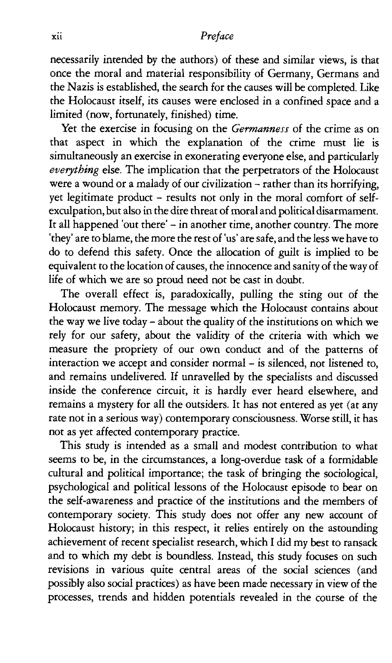necessarily intended by the authors) of these and similar views, is that once the moral and material responsibility of Germany, Germans and the Nazis is established, the search for the causes will be completed. Like the Holocaust itself, its causes were enclosed in a confined space and a limited (now, fortunately, finished) time.

Yet the exercise in focusing on the *Germanness* of the crime as on that aspect in which the explanation of the crime must lie is simultaneously an exercise in exonerating everyone else, and particularly *everything* else. The implication that the perpetrators of the Holocaust were a wound or a malady of our civilization - rather than its horrifying. yet legitimate product - results not only in the moral comfort of selfexculpation, but also in the dire threat of moral and political disarmament. It all happened 'out there' - in another time, another country. The more 'they' are to blame, the more the rest of 'us' are safe, and the less we have to do to defend this safety. Once the allocation of guilt is implied to be equivalent to the location of causes, the innocence and sanity of the way of life of which we are so proud need not be cast in doubt.

The overall effect is, paradoxically, pulling the sting out of the Holocaust memory. The message which the Holocaust contains about the way we live today - about the quality of the institutions on which we rely for our safety, about the validity of the criteria with which we measure the propriety of our own conduct and of the patterns of interaction we accept and consider normal - is silenced, not listened to, and remains undelivered. If unravelled by the specialists and discussed inside the conference circuit, it is hardly ever heard elsewhere, and remains a mystery for all the outsiders. It has not entered as yet (at any rate not in a serious way) contemporary consciousness. Worse still, it has not as yet affected contemporary practice.

This study is intended as a small and modest contribution to what seems to be, in the circumstances, a long-overdue task of a formidable cultural and political importance; the task of bringing the sociological, psychological and political lessons of the Holocaust episode to bear on the self-awareness and practice of the institutions and the members of contemporary society. This study does not offer any new account of Holocaust history; in this respect, it relies entirely on the astounding achievement of recent specialist research, which I did my best to ransack and to which my debt is boundless. Instead, this study focuses on such revisions in various quite central areas of the social sciences (and possibly also social practices) as have been made necessary in view of the processes, trends and hidden potentials revealed in the course of the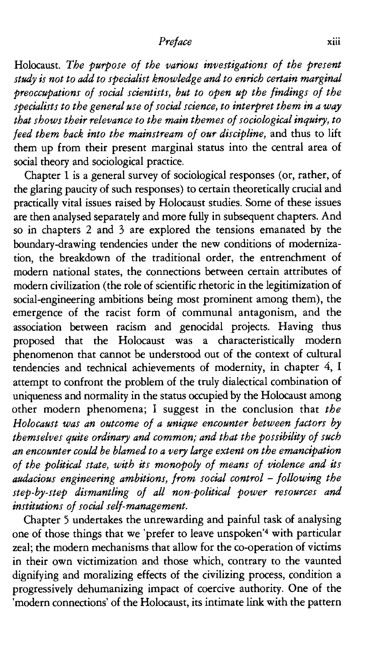### *Preface* xiii

Holocaust. *The purpose of the various investigations of the present study is not to add to specialist knowledge and to enrich certain marginal preoccupations of social scientists, but to open up the findings of the specialists to the general use of social science, to interpret them in a way that shows their relevance to the main themes of sociological inquiry, to feed them back into the mainstream of our discipline,* and thus to lift them up from their present marginal status into the central area of social theory and sociological practice.

Chapter 1 is a general survey of sociological responses (or, rather, of the glaring paucity of such responses) to certain theoretically crucial and practically vital issues raised by Holocaust studies. Some of these issues are then analysed separately and more fully in subsequent chapters. And so in chapters 2 and 3 are explored the tensions emanated by the boundary-drawing tendencies under the new conditions of modernization, the breakdown of the traditional order, the entrenchment of modern national states, the connections between certain attributes of modern civilization (the role of scientific rhetoric in the legitimization of social-engineering ambitions being most prominent among them), the emergence of the racist form of communal antagonism, and the association between racism and genocidal projects. Having thus proposed that the Holocaust was a characteristically modern phenomenon that cannot be understood out of the context of cultural tendencies and technical achievements of modernity, in chapter 4, I attempt to confront the problem of the truly dialectical combination of uniqueness and normality in the status occupied by the Holocaust among other modern phenomena; I suggest in the conclusion that *the Holocaust was an outcome of a unique encounter between factors by themselves quite ordinary and common; and that the possibility of such an encounter could be blamed to a very large extent on the emancipation of the political state, with its monopoly of means of violence and its audacious engineering ambitions, from social control - following the step-by-step dismantling of all non-political power resources and institutions of social self-management.*

Chapter 5 undertakes the unrewarding and painful task of analysing one of those things that we 'prefer to leave unspoken'4 with particular zeal; the modern mechanisms that allow for the co-operation of victims in their own victimization and those which, contrary to the vaunted dignifying and moralizing effects of the civilizing process, condition a progressively dehumanizing impact of coercive authority. One of the 'modern connections' of the Holocaust, its intimate link with the pattern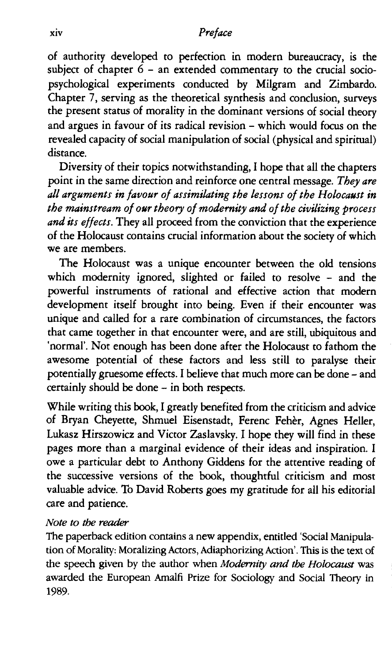### xiv *Preface*

of authority developed to perfection in modern bureaucracy, is the subject of chapter  $\vec{6}$  – an extended commentary to the crucial sociopsychological experiments conducted by Milgram and Zimbardo. Chapter 7, serving as the theoretical synthesis and conclusion, surveys the present status of morality in the dominant versions of social theory and argues in favour of its radical revision - which would focus on the revealed capacity of social manipulation of social (physical and spiritual) distance.

Diversity of their topics notwithstanding, I hope that all the chapters point in the same direction and reinforce one central message. *They are all arguments in favour of assimilating the lessons of the Holocaust in the mainstream of our theory of modernity and of the civilizing process and its effects.* They all proceed from the conviction that the experience of the Holocaust contains crucial information about the society of which we are members.

The Holocaust was a unique encounter between the old tensions which modernity ignored, slighted or failed to resolve - and the powerful instruments of rational and effective action that modern development itself brought into being. Even if their encounter was unique and called for a rare combination of circumstances, the factors that came together in that encounter were, and are still, ubiquitous and 'normal'. Not enough has been done after the Holocaust to fathom the awesome potential of these factors and less still to paralyse their potentially gruesome effects. I believe that much more can be done - and certainly should be done - in both respects.

While writing this book, I greatly benefited from the criticism and advice of Bryan Cheyette, Shmuel Eisenstadt, Ferenc Fehèr, Agnes Heller, Lukasz Hirszowicz and Victor Zaslavsky. I hope they will find in these pages more than a marginal evidence of their ideas and inspiration. I owe a particular debt to Anthony Giddens for the attentive reading of the successive versions of the book, thoughtful criticism and most valuable advice. To David Roberts goes my gratitude for all his editorial care and patience.

#### *Note to the reader*

**The paperback edition contains a new appendix, entitled 'Social Manipulation of Morality: Moralizing Actors, Adiaphorizing Action'. This is the text of** the speech given by the author when *Modernity and the Holocaust* was **awarded the European Amalfi Prize for Sociology and Social Theory in** 1989.